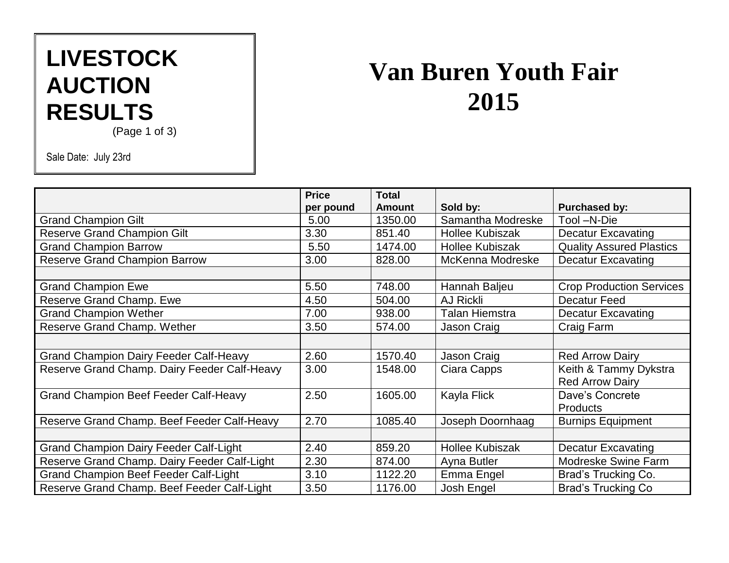# **LIVESTOCK AUCTION RESULTS**

### (Page 1 of 3)

Sale Date: July 23rd

# **Van Buren Youth Fair 2015**

|                                               | <b>Price</b> | <b>Total</b>  |                        |                                 |
|-----------------------------------------------|--------------|---------------|------------------------|---------------------------------|
|                                               | per pound    | <b>Amount</b> | Sold by:               | <b>Purchased by:</b>            |
| <b>Grand Champion Gilt</b>                    | 5.00         | 1350.00       | Samantha Modreske      | Tool -N-Die                     |
| <b>Reserve Grand Champion Gilt</b>            | 3.30         | 851.40        | <b>Hollee Kubiszak</b> | <b>Decatur Excavating</b>       |
| <b>Grand Champion Barrow</b>                  | 5.50         | 1474.00       | <b>Hollee Kubiszak</b> | <b>Quality Assured Plastics</b> |
| <b>Reserve Grand Champion Barrow</b>          | 3.00         | 828.00        | McKenna Modreske       | <b>Decatur Excavating</b>       |
|                                               |              |               |                        |                                 |
| <b>Grand Champion Ewe</b>                     | 5.50         | 748.00        | Hannah Baljeu          | <b>Crop Production Services</b> |
| Reserve Grand Champ. Ewe                      | 4.50         | 504.00        | <b>AJ Rickli</b>       | <b>Decatur Feed</b>             |
| <b>Grand Champion Wether</b>                  | 7.00         | 938.00        | <b>Talan Hiemstra</b>  | <b>Decatur Excavating</b>       |
| Reserve Grand Champ. Wether                   | 3.50         | 574.00        | Jason Craig            | Craig Farm                      |
|                                               |              |               |                        |                                 |
| <b>Grand Champion Dairy Feeder Calf-Heavy</b> | 2.60         | 1570.40       | Jason Craig            | <b>Red Arrow Dairy</b>          |
| Reserve Grand Champ. Dairy Feeder Calf-Heavy  | 3.00         | 1548.00       | Ciara Capps            | Keith & Tammy Dykstra           |
|                                               |              |               |                        | <b>Red Arrow Dairy</b>          |
| <b>Grand Champion Beef Feeder Calf-Heavy</b>  | 2.50         | 1605.00       | Kayla Flick            | Dave's Concrete                 |
|                                               |              |               |                        | <b>Products</b>                 |
| Reserve Grand Champ. Beef Feeder Calf-Heavy   | 2.70         | 1085.40       | Joseph Doornhaag       | <b>Burnips Equipment</b>        |
|                                               |              |               |                        |                                 |
| <b>Grand Champion Dairy Feeder Calf-Light</b> | 2.40         | 859.20        | <b>Hollee Kubiszak</b> | <b>Decatur Excavating</b>       |
| Reserve Grand Champ. Dairy Feeder Calf-Light  | 2.30         | 874.00        | Ayna Butler            | <b>Modreske Swine Farm</b>      |
| <b>Grand Champion Beef Feeder Calf-Light</b>  | 3.10         | 1122.20       | Emma Engel             | Brad's Trucking Co.             |
| Reserve Grand Champ. Beef Feeder Calf-Light   | 3.50         | 1176.00       | Josh Engel             | <b>Brad's Trucking Co</b>       |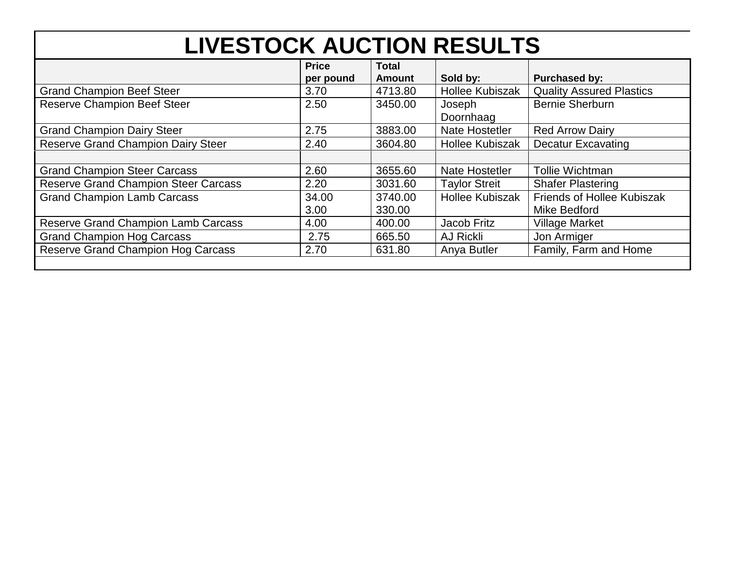| <b>LIVESTOCK AUCTION RESULTS</b>            |                           |                               |                        |                                                   |  |  |  |
|---------------------------------------------|---------------------------|-------------------------------|------------------------|---------------------------------------------------|--|--|--|
|                                             | <b>Price</b><br>per pound | <b>Total</b><br><b>Amount</b> | Sold by:               | <b>Purchased by:</b>                              |  |  |  |
| <b>Grand Champion Beef Steer</b>            | 3.70                      | 4713.80                       | <b>Hollee Kubiszak</b> | <b>Quality Assured Plastics</b>                   |  |  |  |
| <b>Reserve Champion Beef Steer</b>          | 2.50                      | 3450.00                       | Joseph<br>Doornhaag    | <b>Bernie Sherburn</b>                            |  |  |  |
| <b>Grand Champion Dairy Steer</b>           | 2.75                      | 3883.00                       | Nate Hostetler         | <b>Red Arrow Dairy</b>                            |  |  |  |
| <b>Reserve Grand Champion Dairy Steer</b>   | 2.40                      | 3604.80                       | <b>Hollee Kubiszak</b> | <b>Decatur Excavating</b>                         |  |  |  |
| <b>Grand Champion Steer Carcass</b>         | 2.60                      | 3655.60                       | Nate Hostetler         | <b>Tollie Wichtman</b>                            |  |  |  |
| <b>Reserve Grand Champion Steer Carcass</b> | 2.20                      | 3031.60                       | <b>Taylor Streit</b>   | <b>Shafer Plastering</b>                          |  |  |  |
| <b>Grand Champion Lamb Carcass</b>          | 34.00<br>3.00             | 3740.00<br>330.00             | <b>Hollee Kubiszak</b> | <b>Friends of Hollee Kubiszak</b><br>Mike Bedford |  |  |  |
| <b>Reserve Grand Champion Lamb Carcass</b>  | 4.00                      | 400.00                        | Jacob Fritz            | <b>Village Market</b>                             |  |  |  |
| <b>Grand Champion Hog Carcass</b>           | 2.75                      | 665.50                        | AJ Rickli              | Jon Armiger                                       |  |  |  |
| <b>Reserve Grand Champion Hog Carcass</b>   | 2.70                      | 631.80                        | Anya Butler            | Family, Farm and Home                             |  |  |  |
|                                             |                           |                               |                        |                                                   |  |  |  |